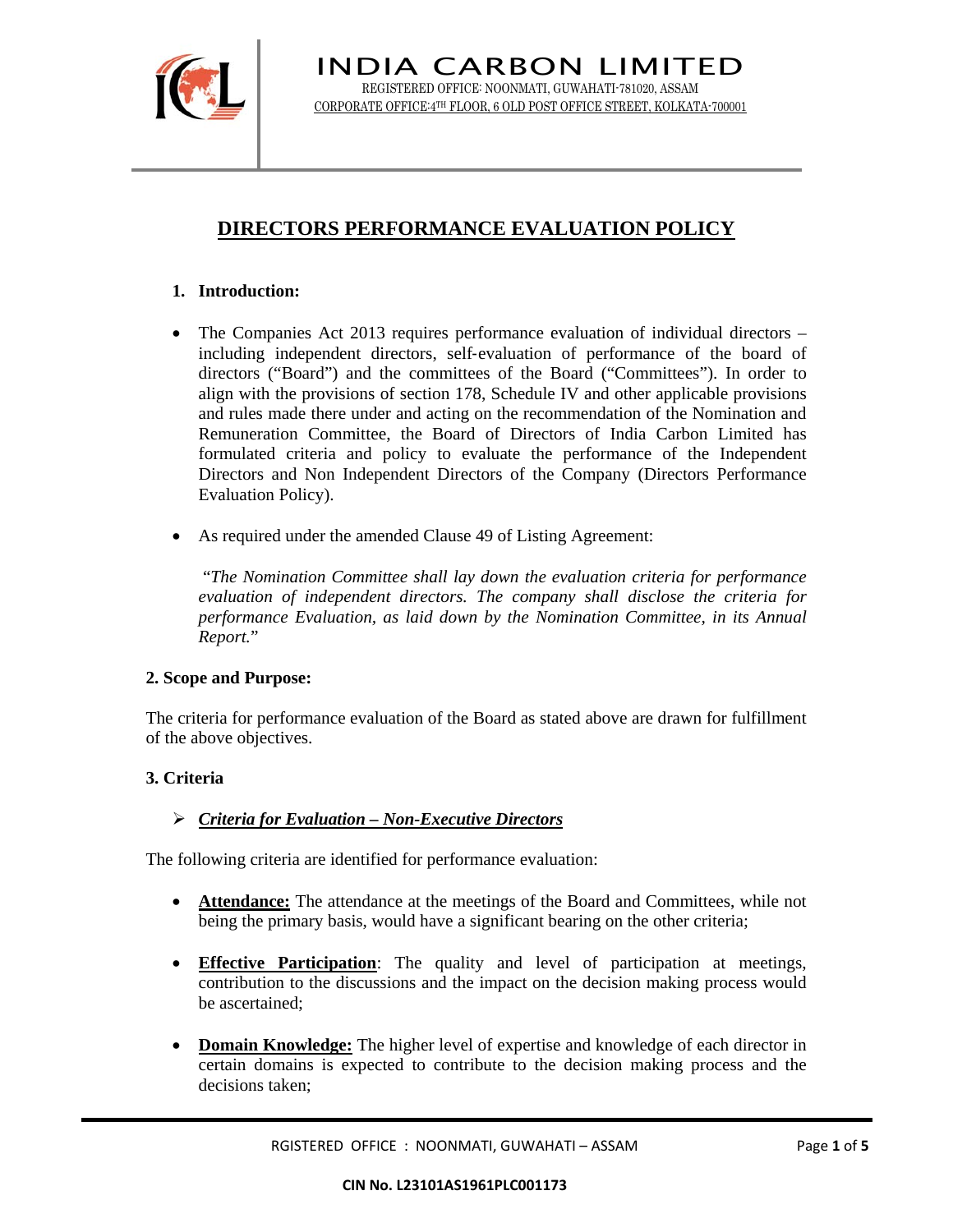

# **DIRECTORS PERFORMANCE EVALUATION POLICY**

# **1. Introduction:**

- The Companies Act 2013 requires performance evaluation of individual directors including independent directors, self-evaluation of performance of the board of directors ("Board") and the committees of the Board ("Committees"). In order to align with the provisions of section 178, Schedule IV and other applicable provisions and rules made there under and acting on the recommendation of the Nomination and Remuneration Committee, the Board of Directors of India Carbon Limited has formulated criteria and policy to evaluate the performance of the Independent Directors and Non Independent Directors of the Company (Directors Performance Evaluation Policy).
- As required under the amended Clause 49 of Listing Agreement:

 "*The Nomination Committee shall lay down the evaluation criteria for performance evaluation of independent directors. The company shall disclose the criteria for performance Evaluation, as laid down by the Nomination Committee, in its Annual Report.*"

## **2. Scope and Purpose:**

The criteria for performance evaluation of the Board as stated above are drawn for fulfillment of the above objectives.

# **3. Criteria**

# ¾ *Criteria for Evaluation – Non-Executive Directors*

The following criteria are identified for performance evaluation:

- **Attendance:** The attendance at the meetings of the Board and Committees, while not being the primary basis, would have a significant bearing on the other criteria;
- **Effective Participation**: The quality and level of participation at meetings, contribution to the discussions and the impact on the decision making process would be ascertained;
- **Domain Knowledge:** The higher level of expertise and knowledge of each director in certain domains is expected to contribute to the decision making process and the decisions taken;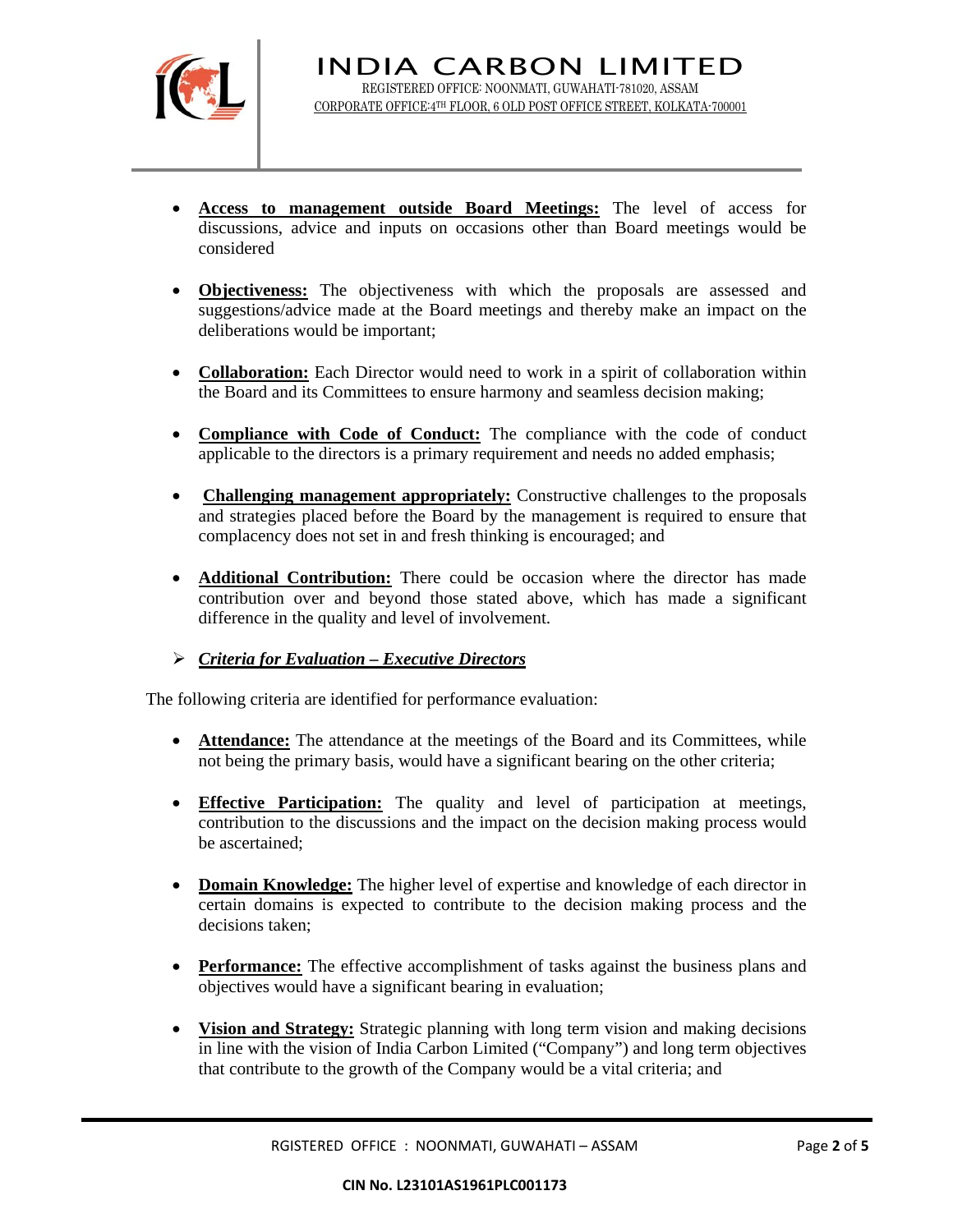

- **Access to management outside Board Meetings:** The level of access for discussions, advice and inputs on occasions other than Board meetings would be considered
- **Objectiveness:** The objectiveness with which the proposals are assessed and suggestions/advice made at the Board meetings and thereby make an impact on the deliberations would be important;
- **Collaboration:** Each Director would need to work in a spirit of collaboration within the Board and its Committees to ensure harmony and seamless decision making;
- **Compliance with Code of Conduct:** The compliance with the code of conduct applicable to the directors is a primary requirement and needs no added emphasis;
- **Challenging management appropriately:** Constructive challenges to the proposals and strategies placed before the Board by the management is required to ensure that complacency does not set in and fresh thinking is encouraged; and
- **Additional Contribution:** There could be occasion where the director has made contribution over and beyond those stated above, which has made a significant difference in the quality and level of involvement.

# ¾ *Criteria for Evaluation – Executive Directors*

The following criteria are identified for performance evaluation:

- **Attendance:** The attendance at the meetings of the Board and its Committees, while not being the primary basis, would have a significant bearing on the other criteria;
- **Effective Participation:** The quality and level of participation at meetings, contribution to the discussions and the impact on the decision making process would be ascertained;
- **Domain Knowledge:** The higher level of expertise and knowledge of each director in certain domains is expected to contribute to the decision making process and the decisions taken;
- **Performance:** The effective accomplishment of tasks against the business plans and objectives would have a significant bearing in evaluation;
- **Vision and Strategy:** Strategic planning with long term vision and making decisions in line with the vision of India Carbon Limited ("Company") and long term objectives that contribute to the growth of the Company would be a vital criteria; and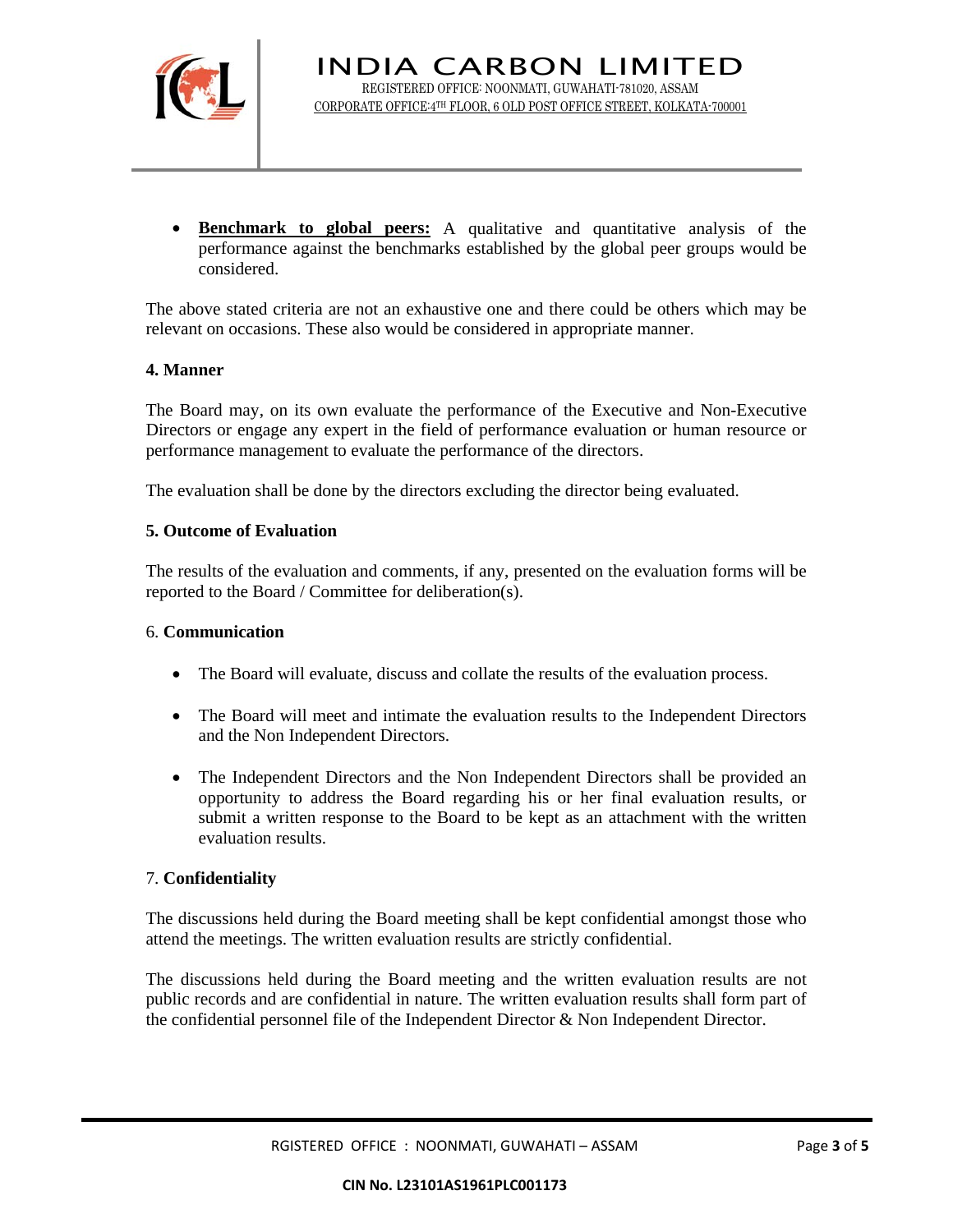

• **Benchmark to global peers:** A qualitative and quantitative analysis of the performance against the benchmarks established by the global peer groups would be considered.

The above stated criteria are not an exhaustive one and there could be others which may be relevant on occasions. These also would be considered in appropriate manner.

## **4. Manner**

The Board may, on its own evaluate the performance of the Executive and Non-Executive Directors or engage any expert in the field of performance evaluation or human resource or performance management to evaluate the performance of the directors.

The evaluation shall be done by the directors excluding the director being evaluated.

## **5. Outcome of Evaluation**

The results of the evaluation and comments, if any, presented on the evaluation forms will be reported to the Board / Committee for deliberation(s).

## 6. **Communication**

- The Board will evaluate, discuss and collate the results of the evaluation process.
- The Board will meet and intimate the evaluation results to the Independent Directors and the Non Independent Directors.
- The Independent Directors and the Non Independent Directors shall be provided an opportunity to address the Board regarding his or her final evaluation results, or submit a written response to the Board to be kept as an attachment with the written evaluation results.

## 7. **Confidentiality**

The discussions held during the Board meeting shall be kept confidential amongst those who attend the meetings. The written evaluation results are strictly confidential.

The discussions held during the Board meeting and the written evaluation results are not public records and are confidential in nature. The written evaluation results shall form part of the confidential personnel file of the Independent Director & Non Independent Director.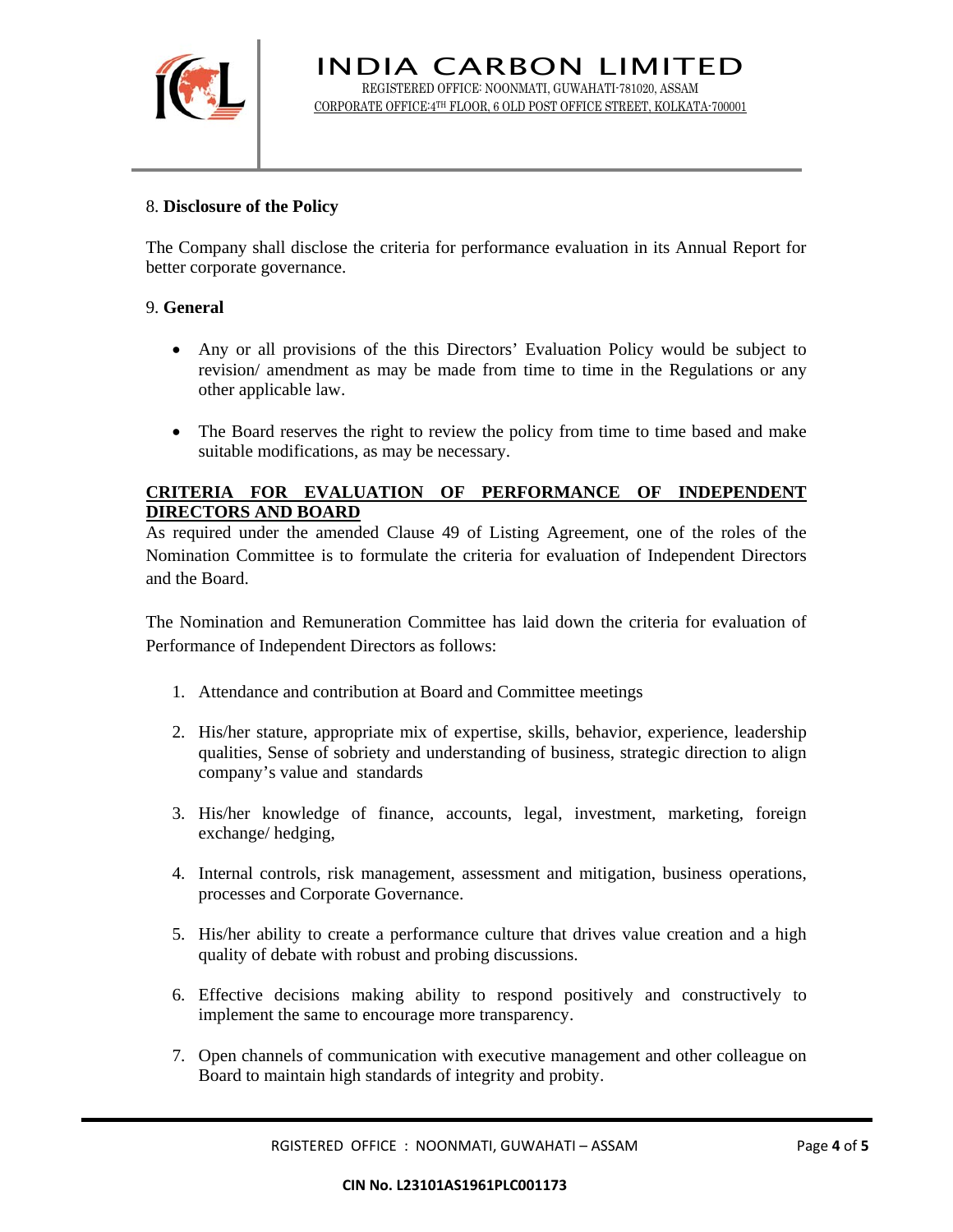

INDIA CARBON LIMITED REGISTERED OFFICE: NOONMATI, GUWAHATI-781020, ASSAM CORPORATE OFFICE:4TH FLOOR, 6 OLD POST OFFICE STREET, KOLKATA-700001

## 8. **Disclosure of the Policy**

The Company shall disclose the criteria for performance evaluation in its Annual Report for better corporate governance.

#### 9. **General**

- Any or all provisions of the this Directors' Evaluation Policy would be subject to revision/ amendment as may be made from time to time in the Regulations or any other applicable law.
- The Board reserves the right to review the policy from time to time based and make suitable modifications, as may be necessary.

## **CRITERIA FOR EVALUATION OF PERFORMANCE OF INDEPENDENT DIRECTORS AND BOARD**

As required under the amended Clause 49 of Listing Agreement, one of the roles of the Nomination Committee is to formulate the criteria for evaluation of Independent Directors and the Board.

The Nomination and Remuneration Committee has laid down the criteria for evaluation of Performance of Independent Directors as follows:

- 1. Attendance and contribution at Board and Committee meetings
- 2. His/her stature, appropriate mix of expertise, skills, behavior, experience, leadership qualities, Sense of sobriety and understanding of business, strategic direction to align company's value and standards
- 3. His/her knowledge of finance, accounts, legal, investment, marketing, foreign exchange/ hedging,
- 4. Internal controls, risk management, assessment and mitigation, business operations, processes and Corporate Governance.
- 5. His/her ability to create a performance culture that drives value creation and a high quality of debate with robust and probing discussions.
- 6. Effective decisions making ability to respond positively and constructively to implement the same to encourage more transparency.
- 7. Open channels of communication with executive management and other colleague on Board to maintain high standards of integrity and probity.